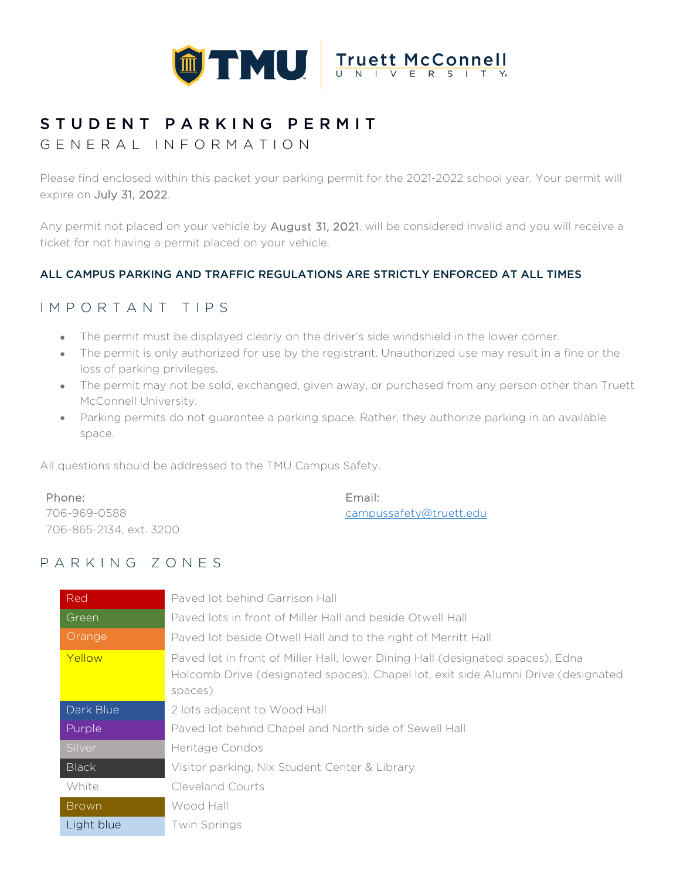

# STUDENT PARKING PERMIT

### GENERAL INFORMATION

Please find enclosed within this packet your parking permit for the 2021-2022 school year. Your permit will expire on July 31, 2022.

Any permit not placed on your vehicle by August 31, 2021, will be considered invalid and you will receive a ticket for not having a permit placed on your vehicle.

### ALL CAMPUS PARKING AND TRAFFIC REGULATIONS ARE STRICTLY ENFORCED AT ALL TIMES

### IMPORTANT TIPS

- The permit must be displayed clearly on the driver's side windshield in the lower corner.
- The permit is only authorized for use by the registrant. Unauthorized use may result in a fine or the loss of parking privileges.
- The permit may not be sold, exchanged, given away, or purchased from any person other than Truett McConnell University.
- Parking permits do not guarantee a parking space. Rather, they authorize parking in an available space.

All questions should be addressed to the TMU Campus Safety.

| Phone:                  | Email:                  |
|-------------------------|-------------------------|
| 706-969-0588            | campussafety@truett.edu |
| 706-865-2134, ext. 3200 |                         |

### PARKING ZONES

| Red          | Paved lot behind Garrison Hall                                                                                                                                                 |
|--------------|--------------------------------------------------------------------------------------------------------------------------------------------------------------------------------|
| Green        | Payed lots in front of Miller Hall and beside Otwell Hall                                                                                                                      |
| Orange       | Paved lot beside Otwell Hall and to the right of Merritt Hall                                                                                                                  |
| Yellow       | Paved lot in front of Miller Hall, lower Dining Hall (designated spaces), Edna<br>Holcomb Drive (designated spaces), Chapel lot, exit side Alumni Drive (designated<br>spaces) |
| Dark Blue    | 2 lots adjacent to Wood Hall                                                                                                                                                   |
| Purple       | Paved lot behind Chapel and North side of Sewell Hall                                                                                                                          |
| Silver       | Heritage Condos                                                                                                                                                                |
| <b>Black</b> | Visitor parking, Nix Student Center & Library                                                                                                                                  |
| White        | Cleveland Courts                                                                                                                                                               |
| <b>Brown</b> | Wood Hall                                                                                                                                                                      |
| Light blue   | <b>Twin Springs</b>                                                                                                                                                            |